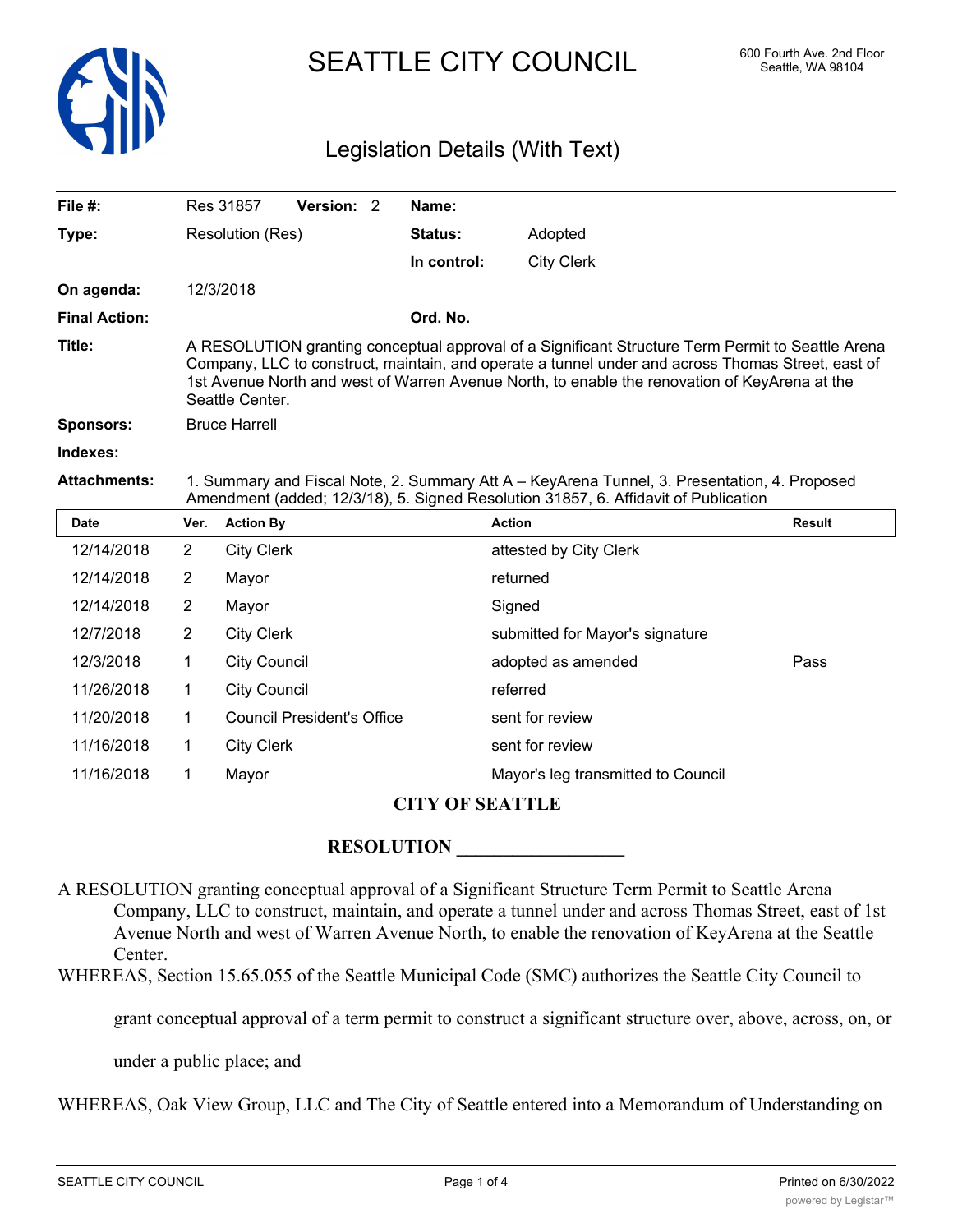

# SEATTLE CITY COUNCIL 600 Fourth Ave. 2nd Floor

### Legislation Details (With Text)

| File $#$ :           |                                                                                                                                                                                                                                                                                                                            | Version: 2<br>Res 31857           | Name:       |                                    |               |
|----------------------|----------------------------------------------------------------------------------------------------------------------------------------------------------------------------------------------------------------------------------------------------------------------------------------------------------------------------|-----------------------------------|-------------|------------------------------------|---------------|
| Type:                |                                                                                                                                                                                                                                                                                                                            | Resolution (Res)                  | Status:     | Adopted                            |               |
|                      |                                                                                                                                                                                                                                                                                                                            |                                   | In control: | <b>City Clerk</b>                  |               |
| On agenda:           |                                                                                                                                                                                                                                                                                                                            | 12/3/2018                         |             |                                    |               |
| <b>Final Action:</b> |                                                                                                                                                                                                                                                                                                                            |                                   | Ord. No.    |                                    |               |
| Title:               | A RESOLUTION granting conceptual approval of a Significant Structure Term Permit to Seattle Arena<br>Company, LLC to construct, maintain, and operate a tunnel under and across Thomas Street, east of<br>1st Avenue North and west of Warren Avenue North, to enable the renovation of KeyArena at the<br>Seattle Center. |                                   |             |                                    |               |
| <b>Sponsors:</b>     | <b>Bruce Harrell</b>                                                                                                                                                                                                                                                                                                       |                                   |             |                                    |               |
| Indexes:             |                                                                                                                                                                                                                                                                                                                            |                                   |             |                                    |               |
| <b>Attachments:</b>  | 1. Summary and Fiscal Note, 2. Summary Att A - KeyArena Tunnel, 3. Presentation, 4. Proposed<br>Amendment (added; 12/3/18), 5. Signed Resolution 31857, 6. Affidavit of Publication                                                                                                                                        |                                   |             |                                    |               |
| Date                 | Ver.                                                                                                                                                                                                                                                                                                                       | <b>Action By</b>                  |             | <b>Action</b>                      | <b>Result</b> |
| 12/14/2018           | $\overline{2}$                                                                                                                                                                                                                                                                                                             | <b>City Clerk</b>                 |             | attested by City Clerk             |               |
| 12/14/2018           | $\overline{2}$                                                                                                                                                                                                                                                                                                             | Mayor                             |             | returned                           |               |
| 12/14/2018           | 2                                                                                                                                                                                                                                                                                                                          | Mayor                             |             | Signed                             |               |
| 12/7/2018            | $\overline{2}$                                                                                                                                                                                                                                                                                                             | <b>City Clerk</b>                 |             | submitted for Mayor's signature    |               |
| 12/3/2018            | 1                                                                                                                                                                                                                                                                                                                          | <b>City Council</b>               |             | adopted as amended                 | Pass          |
| 11/26/2018           | 1                                                                                                                                                                                                                                                                                                                          | <b>City Council</b>               |             | referred                           |               |
| 11/20/2018           | 1                                                                                                                                                                                                                                                                                                                          | <b>Council President's Office</b> |             | sent for review                    |               |
| 11/16/2018           | 1                                                                                                                                                                                                                                                                                                                          | <b>City Clerk</b>                 |             | sent for review                    |               |
| 11/16/2018           | 1                                                                                                                                                                                                                                                                                                                          | Mayor                             |             | Mayor's leg transmitted to Council |               |

#### **CITY OF SEATTLE**

#### **RESOLUTION \_\_\_\_\_\_\_\_\_\_\_\_\_\_\_\_\_\_**

A RESOLUTION granting conceptual approval of a Significant Structure Term Permit to Seattle Arena Company, LLC to construct, maintain, and operate a tunnel under and across Thomas Street, east of 1st Avenue North and west of Warren Avenue North, to enable the renovation of KeyArena at the Seattle Center.

WHEREAS, Section 15.65.055 of the Seattle Municipal Code (SMC) authorizes the Seattle City Council to

grant conceptual approval of a term permit to construct a significant structure over, above, across, on, or

under a public place; and

WHEREAS, Oak View Group, LLC and The City of Seattle entered into a Memorandum of Understanding on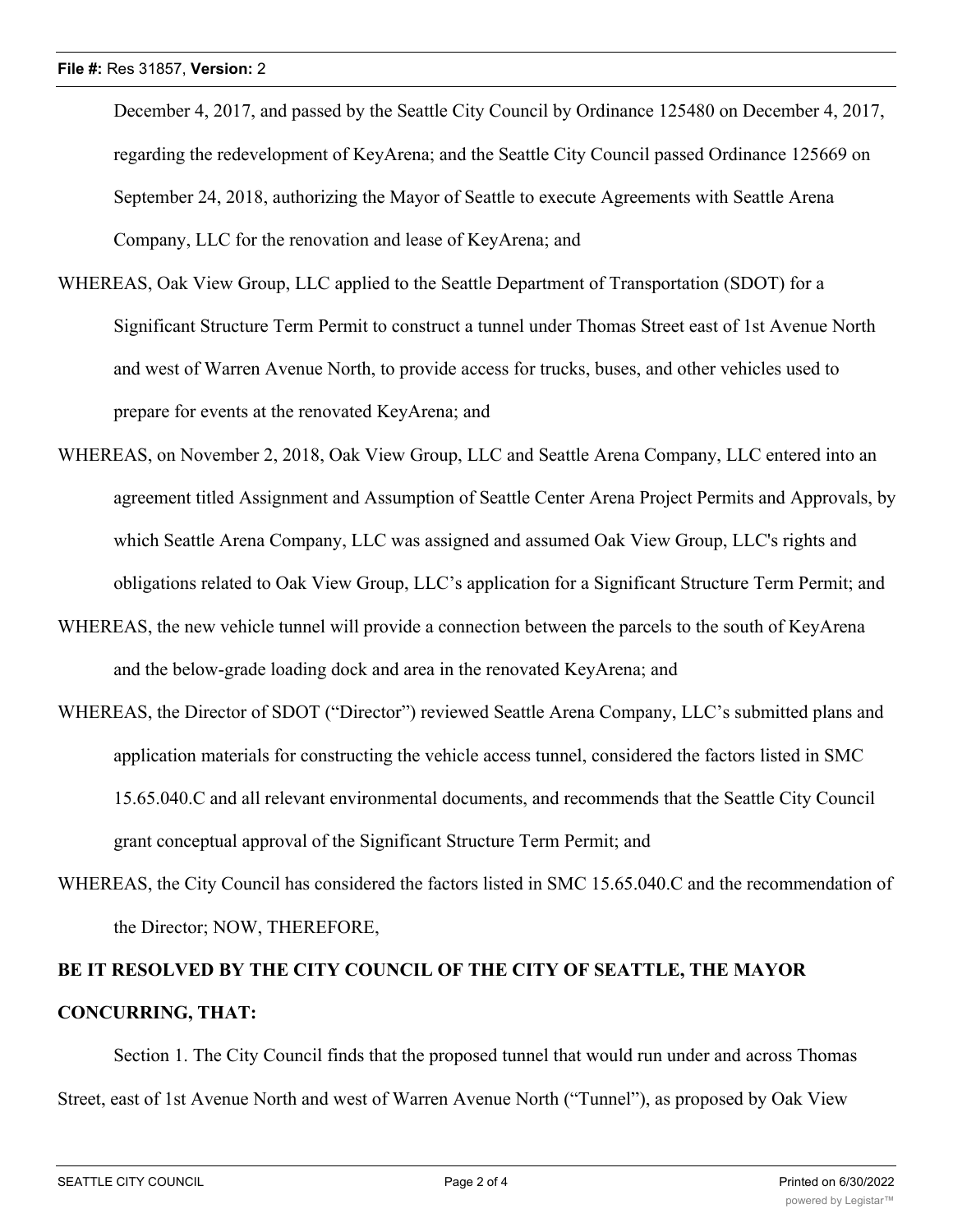December 4, 2017, and passed by the Seattle City Council by Ordinance 125480 on December 4, 2017, regarding the redevelopment of KeyArena; and the Seattle City Council passed Ordinance 125669 on September 24, 2018, authorizing the Mayor of Seattle to execute Agreements with Seattle Arena Company, LLC for the renovation and lease of KeyArena; and

- WHEREAS, Oak View Group, LLC applied to the Seattle Department of Transportation (SDOT) for a Significant Structure Term Permit to construct a tunnel under Thomas Street east of 1st Avenue North and west of Warren Avenue North, to provide access for trucks, buses, and other vehicles used to prepare for events at the renovated KeyArena; and
- WHEREAS, on November 2, 2018, Oak View Group, LLC and Seattle Arena Company, LLC entered into an agreement titled Assignment and Assumption of Seattle Center Arena Project Permits and Approvals, by which Seattle Arena Company, LLC was assigned and assumed Oak View Group, LLC's rights and obligations related to Oak View Group, LLC's application for a Significant Structure Term Permit; and
- WHEREAS, the new vehicle tunnel will provide a connection between the parcels to the south of KeyArena and the below-grade loading dock and area in the renovated KeyArena; and
- WHEREAS, the Director of SDOT ("Director") reviewed Seattle Arena Company, LLC's submitted plans and application materials for constructing the vehicle access tunnel, considered the factors listed in SMC 15.65.040.C and all relevant environmental documents, and recommends that the Seattle City Council grant conceptual approval of the Significant Structure Term Permit; and
- WHEREAS, the City Council has considered the factors listed in SMC 15.65.040.C and the recommendation of the Director; NOW, THEREFORE,

## **BE IT RESOLVED BY THE CITY COUNCIL OF THE CITY OF SEATTLE, THE MAYOR CONCURRING, THAT:**

Section 1. The City Council finds that the proposed tunnel that would run under and across Thomas Street, east of 1st Avenue North and west of Warren Avenue North ("Tunnel"), as proposed by Oak View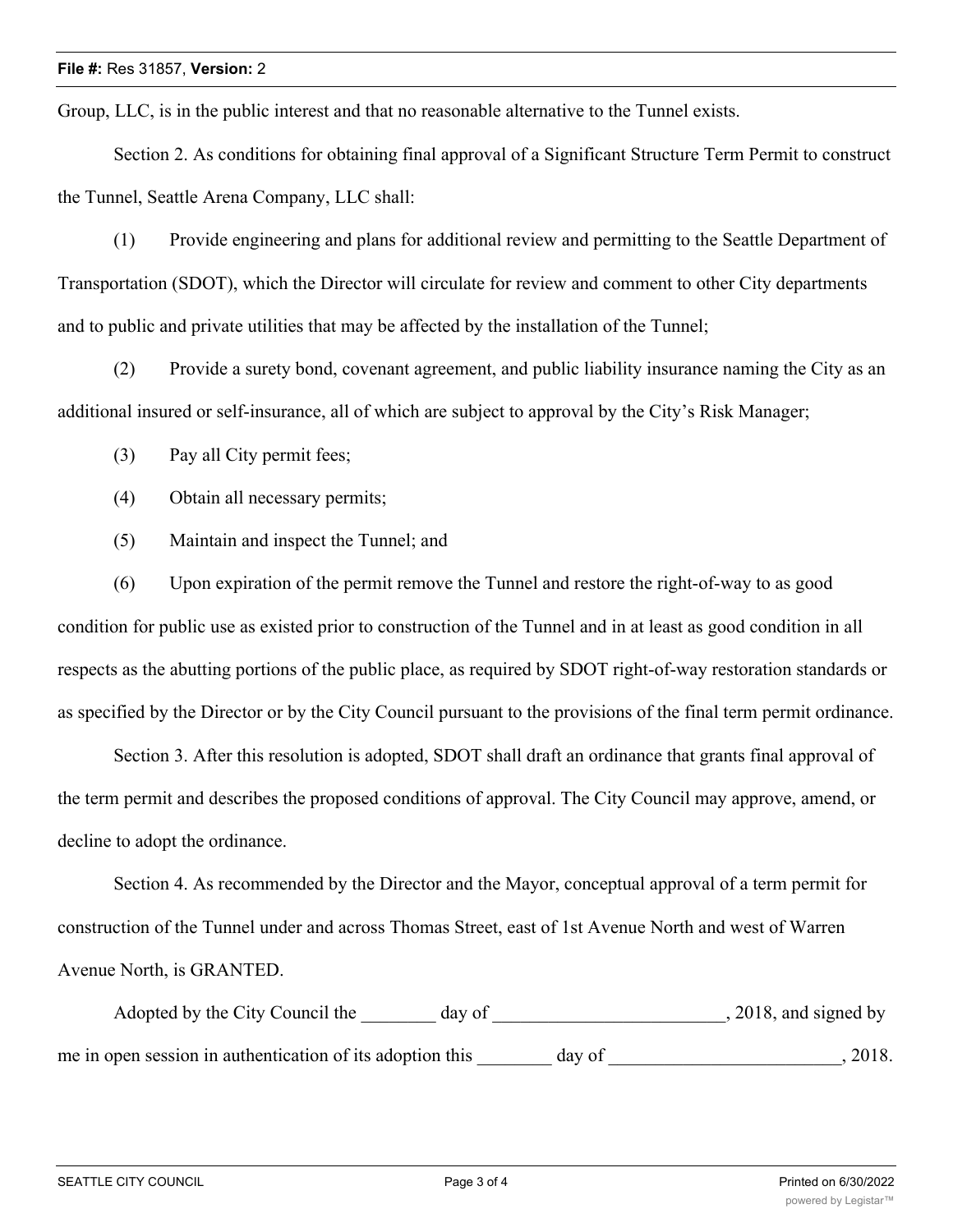Group, LLC, is in the public interest and that no reasonable alternative to the Tunnel exists.

Section 2. As conditions for obtaining final approval of a Significant Structure Term Permit to construct the Tunnel, Seattle Arena Company, LLC shall:

(1) Provide engineering and plans for additional review and permitting to the Seattle Department of Transportation (SDOT), which the Director will circulate for review and comment to other City departments and to public and private utilities that may be affected by the installation of the Tunnel;

(2) Provide a surety bond, covenant agreement, and public liability insurance naming the City as an additional insured or self-insurance, all of which are subject to approval by the City's Risk Manager;

(3) Pay all City permit fees;

(4) Obtain all necessary permits;

(5) Maintain and inspect the Tunnel; and

(6) Upon expiration of the permit remove the Tunnel and restore the right-of-way to as good condition for public use as existed prior to construction of the Tunnel and in at least as good condition in all respects as the abutting portions of the public place, as required by SDOT right-of-way restoration standards or as specified by the Director or by the City Council pursuant to the provisions of the final term permit ordinance.

Section 3. After this resolution is adopted, SDOT shall draft an ordinance that grants final approval of the term permit and describes the proposed conditions of approval. The City Council may approve, amend, or decline to adopt the ordinance.

Section 4. As recommended by the Director and the Mayor, conceptual approval of a term permit for construction of the Tunnel under and across Thomas Street, east of 1st Avenue North and west of Warren Avenue North, is GRANTED.

Adopted by the City Council the day of the case of the council the day of the council state of the council state of the council state of the council state of the council state of the council state of the council state of t me in open session in authentication of its adoption this day of  $\qquad \qquad$ , 2018.